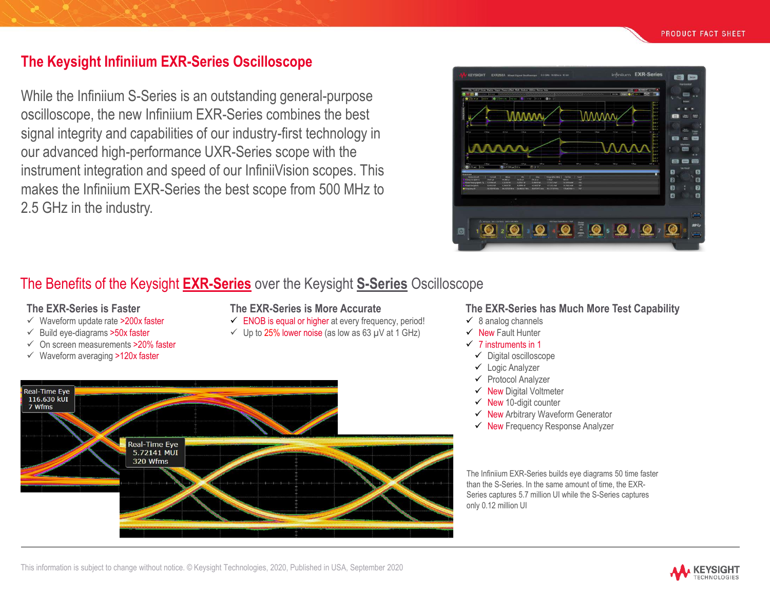# **The Keysight Infiniium EXR-Series Oscilloscope**

While the Infiniium S-Series is an outstanding general-purpose oscilloscope, the new Infiniium EXR-Series combines the best signal integrity and capabilities of our industry-first technology in our advanced high-performance UXR-Series scope with the instrument integration and speed of our InfiniiVision scopes. This makes the Infiniium EXR-Series the best scope from 500 MHz to 2.5 GHz in the industry.

# infiniium EXR-Series **CON**  $\mathbf{1} \textcircled{\textcolor{red}{\bullet}} \mathbf{2} \textcircled{\textcolor{red}{\bullet}} \mathbf{1} \textcircled{\textcolor{red}{\bullet}} \textcircled{\textcolor{red}{\bullet}} \textcircled{\textcolor{red}{\bullet}} \textcircled{\textcolor{red}{\bullet}} \textcircled{\textcolor{red}{\bullet}} \textcircled{\textcolor{red}{\bullet}} \textcircled{\textcolor{red}{\bullet}} \textcircled{\textcolor{red}{\bullet}} \textcircled{\textcolor{red}{\bullet}}$

# The Benefits of the Keysight **EXR-Series** over the Keysight **S-Series** Oscilloscope

#### **The EXR-Series is Faster**

- ✓ Waveform update rate >200x faster
- $\checkmark$  Build eye-diagrams > 50x faster
- $\checkmark$  On screen measurements >20% faster
- ✓ Waveform averaging >120x faster

#### **The EXR-Series is More Accurate**

- $\checkmark$  ENOB is equal or higher at every frequency, period!
- $\checkmark$  Up to 25% lower noise (as low as 63 uV at 1 GHz)



## **The EXR-Series has Much More Test Capability**

- $\checkmark$  8 analog channels
- ✓ New Fault Hunter
- $\checkmark$  7 instruments in 1
- ✓ Digital oscilloscope
- ✓ Logic Analyzer
- ✓ Protocol Analyzer
- ✓ New Digital Voltmeter
- $\checkmark$  New 10-digit counter
- ✓ New Arbitrary Waveform Generator
- ✓ New Frequency Response Analyzer

The Infiniium EXR-Series builds eye diagrams 50 time faster than the S-Series. In the same amount of time, the EXR-Series captures 5.7 million UI while the S-Series captures only 0.12 million UI